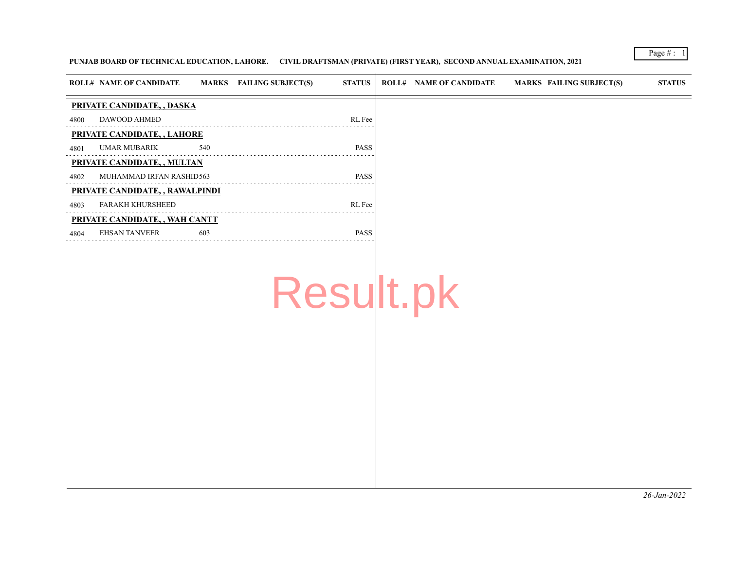### **PUNJAB BOARD OF TECHNICAL EDUCATION, LAHORE. CIVIL DRAFTSMAN (PRIVATE) (FIRST YEAR), SECOND ANNUAL EXAMINATION, 2021**

|      | <b>ROLL# NAME OF CANDIDATE</b>     | <b>MARKS</b> | <b>FAILING SUBJECT(S)</b> | <b>STATUS</b> | <b>ROLL# NAME OF CANDIDATE</b> | MARKS FAILING SUBJECT(S) | <b>STATUS</b> |
|------|------------------------------------|--------------|---------------------------|---------------|--------------------------------|--------------------------|---------------|
|      | PRIVATE CANDIDATE, , DASKA         |              |                           |               |                                |                          |               |
| 4800 | DAWOOD AHMED                       |              |                           | RL Fee        |                                |                          |               |
|      | <b>PRIVATE CANDIDATE, , LAHORE</b> |              |                           |               |                                |                          |               |
| 4801 | <b>UMAR MUBARIK</b>                | 540          |                           | <b>PASS</b>   |                                |                          |               |
|      | PRIVATE CANDIDATE, , MULTAN        |              |                           |               |                                |                          |               |
| 4802 | MUHAMMAD IRFAN RASHID563           |              |                           | <b>PASS</b>   |                                |                          |               |
|      | PRIVATE CANDIDATE, , RAWALPINDI    |              |                           |               |                                |                          |               |
| 4803 | <b>FARAKH KHURSHEED</b>            |              |                           | RL Fee        |                                |                          |               |
|      | PRIVATE CANDIDATE, , WAH CANTT     |              |                           |               |                                |                          |               |
| 4804 | <b>EHSAN TANVEER</b>               | 603          |                           | <b>PASS</b>   |                                |                          |               |

Result.pk

Page  $#$  :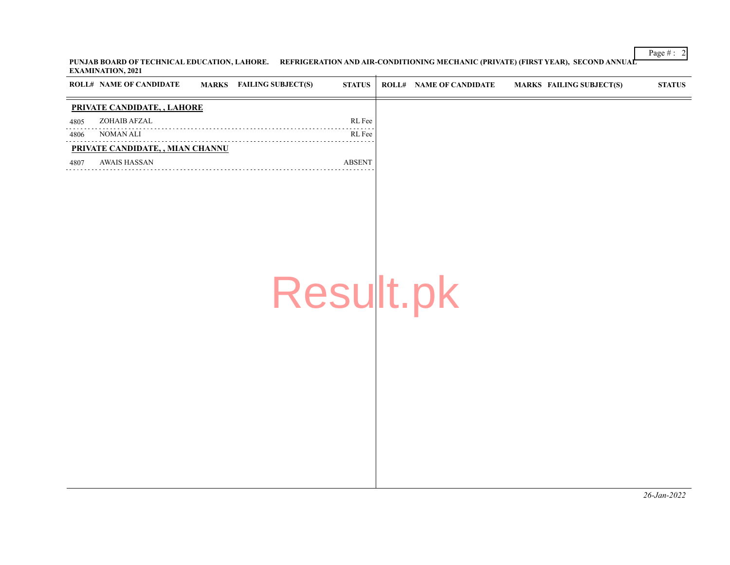Page # : 2 **PUNJAB BOARD OF TECHNICAL EDUCATION, LAHORE. REFRIGERATION AND AIR-CONDITIONING MECHANIC (PRIVATE) (FIRST YEAR), SECOND ANNUAL EXAMINATION, 2021**

|      | <b>ROLL# NAME OF CANDIDATE</b>     | MARKS FAILING SUBJECT(S) | <b>STATUS</b> | <b>ROLL# NAME OF CANDIDATE</b> | MARKS FAILING SUBJECT(S) | <b>STATUS</b> |
|------|------------------------------------|--------------------------|---------------|--------------------------------|--------------------------|---------------|
|      | <b>PRIVATE CANDIDATE, , LAHORE</b> |                          |               |                                |                          |               |
| 4805 | ZOHAIB AFZAL                       |                          | RL Fee        |                                |                          |               |
| 4806 | NOMAN ALI                          |                          | RL Fee        |                                |                          |               |
|      | PRIVATE CANDIDATE, , MIAN CHANNU   |                          |               |                                |                          |               |
| 4807 | AWAIS HASSAN                       |                          | <b>ABSENT</b> |                                |                          |               |
|      |                                    |                          |               |                                |                          |               |
|      |                                    |                          |               |                                |                          |               |
|      |                                    |                          |               |                                |                          |               |

Result.pk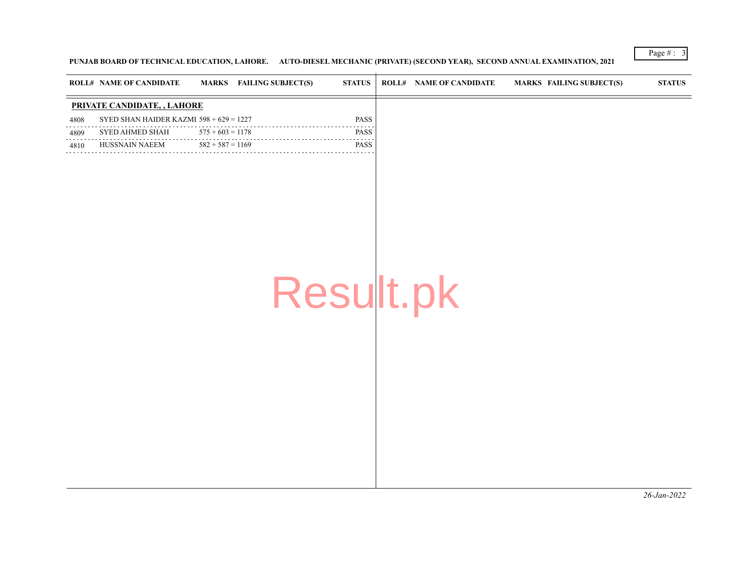## **PUNJAB BOARD OF TECHNICAL EDUCATION, LAHORE. AUTO-DIESEL MECHANIC (PRIVATE) (SECOND YEAR), SECOND ANNUAL EXAMINATION, 2021**

|           | <b>ROLL# NAME OF CANDIDATE</b>            |                    | MARKS FAILING SUBJECT(S) | <b>STATUS</b> | <b>ROLL# NAME OF CANDIDATE</b> | <b>MARKS FAILING SUBJECT(S)</b> | <b>STATUS</b> |
|-----------|-------------------------------------------|--------------------|--------------------------|---------------|--------------------------------|---------------------------------|---------------|
|           | PRIVATE CANDIDATE, , LAHORE               |                    |                          |               |                                |                                 |               |
| 4808      | SYED SHAN HAIDER KAZMI $598 + 629 = 1227$ |                    |                          | PASS          |                                |                                 |               |
| 4809      | SYED AHMED SHAH                           | $575 + 603 = 1178$ |                          | PASS          |                                |                                 |               |
| .<br>4810 | HUSSNAIN NAEEM                            | $582 + 587 = 1169$ |                          | PASS          |                                |                                 |               |
|           |                                           |                    | Result.pk                |               |                                |                                 |               |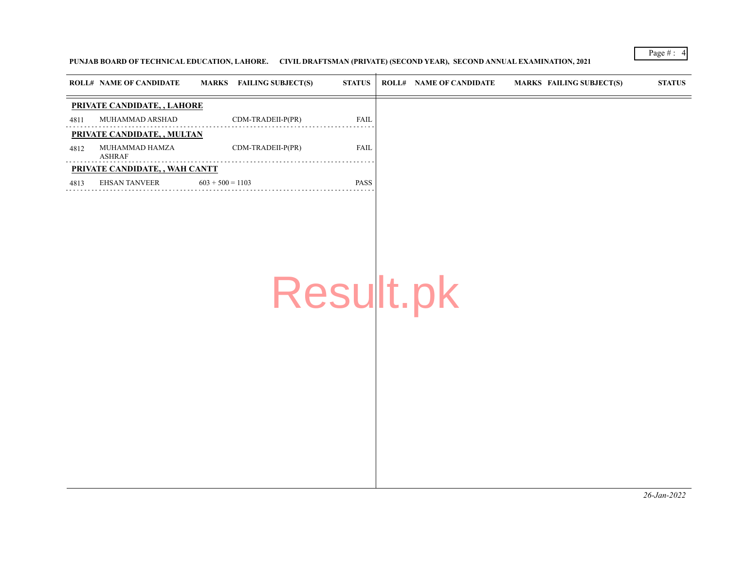**PUNJAB BOARD OF TECHNICAL EDUCATION, LAHORE. CIVIL DRAFTSMAN (PRIVATE) (SECOND YEAR), SECOND ANNUAL EXAMINATION, 2021**

|      | <b>ROLL# NAME OF CANDIDATE</b> | MARKS FAILING SUBJECT(S) | <b>STATUS</b> | <b>ROLL# NAME OF CANDIDATE</b> | MARKS FAILING SUBJECT(S) | <b>STATUS</b> |
|------|--------------------------------|--------------------------|---------------|--------------------------------|--------------------------|---------------|
|      | PRIVATE CANDIDATE, , LAHORE    |                          |               |                                |                          |               |
| 4811 | MUHAMMAD ARSHAD                | CDM-TRADEII-P(PR)        | <b>FAIL</b>   |                                |                          |               |
|      | PRIVATE CANDIDATE, , MULTAN    |                          |               |                                |                          |               |
| 4812 | MUHAMMAD HAMZA<br>ASHRAF       | CDM-TRADEII-P(PR)        | <b>FAIL</b>   |                                |                          |               |
|      | PRIVATE CANDIDATE, , WAH CANTT |                          |               |                                |                          |               |
| 4813 | EHSAN TANVEER                  | $603 + 500 = 1103$       | <b>PASS</b>   |                                |                          |               |

Result.pk

Page # : 4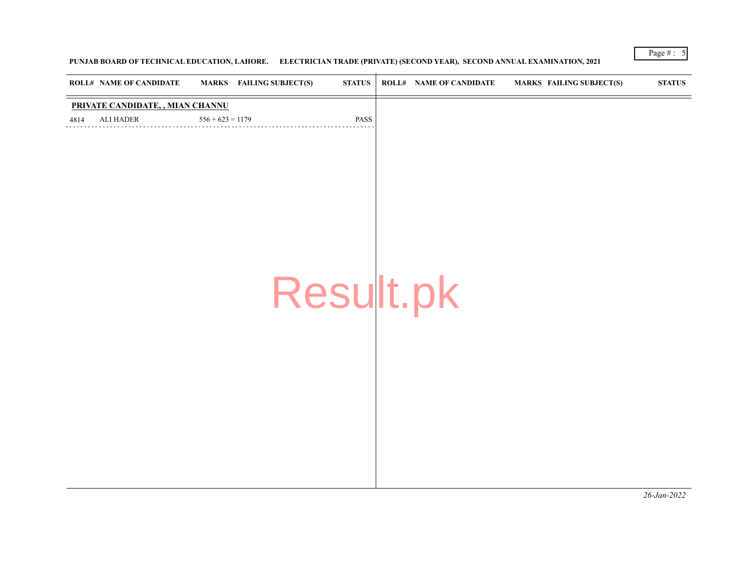## **PUNJAB BOARD OF TECHNICAL EDUCATION, LAHORE. ELECTRICIAN TRADE (PRIVATE) (SECOND YEAR), SECOND ANNUAL EXAMINATION, 2021**

| <b>ROLL# NAME OF CANDIDATE</b>   |                    | <b>MARKS</b> FAILING SUBJECT(S) | <b>STATUS</b> | <b>ROLL# NAME OF CANDIDATE</b> | <b>MARKS FAILING SUBJECT(S)</b> | $\boldsymbol{\mathrm{STAT}}$ |
|----------------------------------|--------------------|---------------------------------|---------------|--------------------------------|---------------------------------|------------------------------|
| PRIVATE CANDIDATE, , MIAN CHANNU |                    |                                 |               |                                |                                 |                              |
| <b>ALI HADER</b><br>4814         | $556 + 623 = 1179$ |                                 | PASS          |                                |                                 |                              |
|                                  |                    |                                 |               |                                |                                 |                              |
|                                  |                    |                                 |               |                                |                                 |                              |
|                                  |                    |                                 |               |                                |                                 |                              |
|                                  |                    |                                 |               |                                |                                 |                              |
|                                  |                    |                                 |               |                                |                                 |                              |
|                                  |                    |                                 |               |                                |                                 |                              |
|                                  |                    |                                 |               |                                |                                 |                              |
|                                  |                    |                                 |               |                                |                                 |                              |
|                                  |                    | Result.pk                       |               |                                |                                 |                              |
|                                  |                    |                                 |               |                                |                                 |                              |
|                                  |                    |                                 |               |                                |                                 |                              |
|                                  |                    |                                 |               |                                |                                 |                              |
|                                  |                    |                                 |               |                                |                                 |                              |
|                                  |                    |                                 |               |                                |                                 |                              |
|                                  |                    |                                 |               |                                |                                 |                              |
|                                  |                    |                                 |               |                                |                                 |                              |
|                                  |                    |                                 |               |                                |                                 |                              |
|                                  |                    |                                 |               |                                |                                 |                              |
|                                  |                    |                                 |               |                                |                                 |                              |
|                                  |                    |                                 |               |                                |                                 |                              |
|                                  |                    |                                 |               |                                |                                 |                              |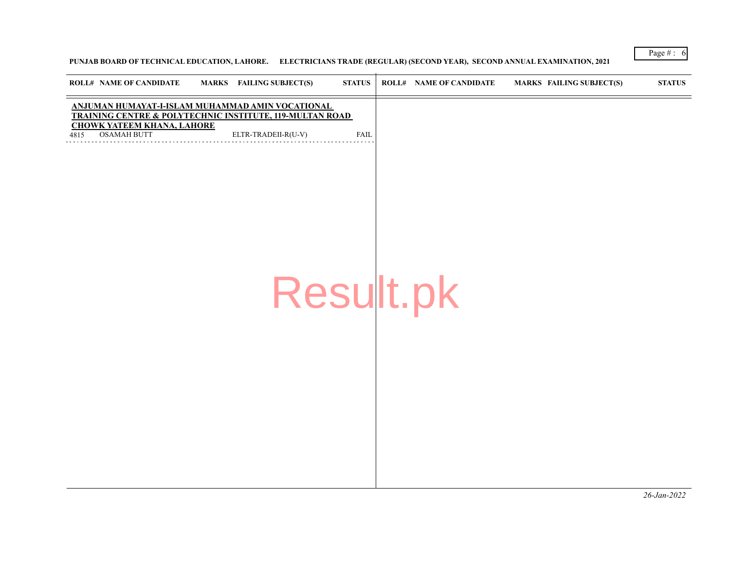## **PUNJAB BOARD OF TECHNICAL EDUCATION, LAHORE. ELECTRICIANS TRADE (REGULAR) (SECOND YEAR), SECOND ANNUAL EXAMINATION, 2021**

| <b>ROLL# NAME OF CANDIDATE</b>                                                                                          | MARKS FAILING SUBJECT(S) | <b>STATUS</b> | <b>ROLL# NAME OF CANDIDATE</b> | <b>MARKS FAILING SUBJECT(S)</b> | <b>STATUS</b> |
|-------------------------------------------------------------------------------------------------------------------------|--------------------------|---------------|--------------------------------|---------------------------------|---------------|
| ANJUMAN HUMAYAT-I-ISLAM MUHAMMAD AMIN VOCATIONAL<br><b>TRAINING CENTRE &amp; POLYTECHNIC INSTITUTE, 119-MULTAN ROAD</b> |                          |               |                                |                                 |               |
| <b>CHOWK YATEEM KHANA, LAHORE</b><br><b>OSAMAH BUTT</b><br>4815                                                         | ELTR-TRADEII-R(U-V)      | <b>FAIL</b>   |                                |                                 |               |
|                                                                                                                         | Result.pk                |               |                                |                                 |               |

Page #:  $6$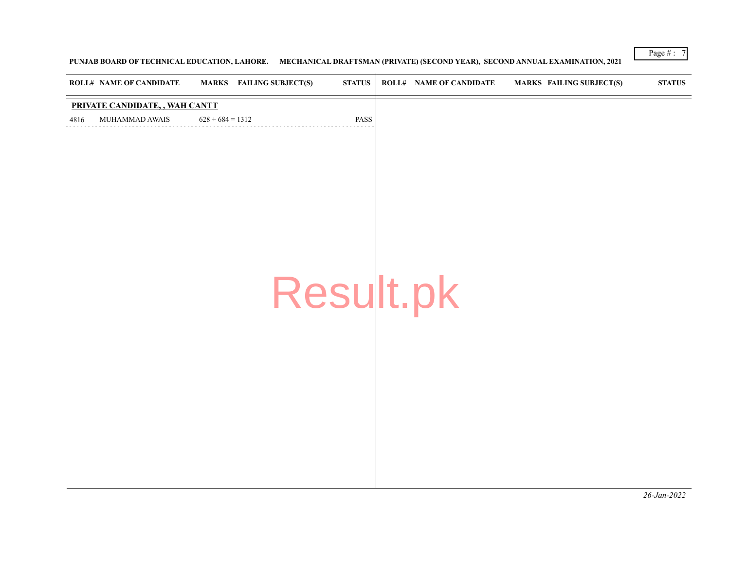**PUNJAB BOARD OF TECHNICAL EDUCATION, LAHORE. MECHANICAL DRAFTSMAN (PRIVATE) (SECOND YEAR), SECOND ANNUAL EXAMINATION, 2021**

| <b>ROLL# NAME OF CANDIDATE</b> | <b>MARKS</b> FAILING SUBJECT(S) | <b>STATUS</b> | <b>ROLL# NAME OF CANDIDATE</b> | <b>MARKS FAILING SUBJECT(S)</b> | $\bold{STATUS}$ |
|--------------------------------|---------------------------------|---------------|--------------------------------|---------------------------------|-----------------|
| PRIVATE CANDIDATE, , WAH CANTT |                                 |               |                                |                                 |                 |
| MUHAMMAD AWAIS<br>4816         | $628 + 684 = 1312$              | PASS          |                                |                                 |                 |
|                                |                                 |               |                                |                                 |                 |
|                                |                                 |               |                                |                                 |                 |
|                                |                                 |               |                                |                                 |                 |
|                                |                                 |               |                                |                                 |                 |
|                                |                                 |               |                                |                                 |                 |
|                                |                                 |               |                                |                                 |                 |
|                                |                                 |               |                                |                                 |                 |
|                                |                                 |               |                                |                                 |                 |
|                                |                                 |               |                                |                                 |                 |
|                                |                                 |               |                                |                                 |                 |
|                                |                                 | Result.pk     |                                |                                 |                 |
|                                |                                 |               |                                |                                 |                 |
|                                |                                 |               |                                |                                 |                 |
|                                |                                 |               |                                |                                 |                 |
|                                |                                 |               |                                |                                 |                 |
|                                |                                 |               |                                |                                 |                 |
|                                |                                 |               |                                |                                 |                 |
|                                |                                 |               |                                |                                 |                 |
|                                |                                 |               |                                |                                 |                 |
|                                |                                 |               |                                |                                 |                 |
|                                |                                 |               |                                |                                 |                 |
|                                |                                 |               |                                |                                 |                 |
|                                |                                 |               |                                |                                 |                 |
|                                |                                 |               |                                |                                 |                 |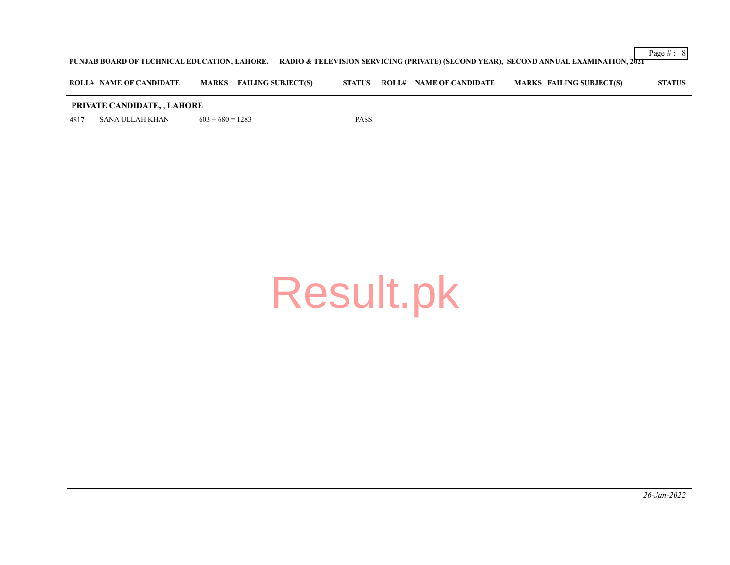**PUNJAB BOARD OF TECHNICAL EDUCATION, LAHORE. RADIO & TELEVISION SERVICING (PRIVATE) (SECOND YEAR), SECOND ANNUAL EXAMINATION, 2021**

|      | <b>ROLL# NAME OF CANDIDATE</b> |                    | <b>MARKS</b> FAILING SUBJECT(S) | <b>STATUS</b> | <b>ROLL# NAME OF CANDIDATE</b> | <b>MARKS FAILING SUBJECT(S)</b> | $\bold{STATUS}$ |
|------|--------------------------------|--------------------|---------------------------------|---------------|--------------------------------|---------------------------------|-----------------|
|      | PRIVATE CANDIDATE, , LAHORE    |                    |                                 |               |                                |                                 |                 |
| 4817 | SANA ULLAH KHAN                | $603 + 680 = 1283$ |                                 | PASS          |                                |                                 |                 |
|      |                                |                    |                                 |               |                                |                                 |                 |
|      |                                |                    |                                 |               |                                |                                 |                 |
|      |                                |                    |                                 |               |                                |                                 |                 |
|      |                                |                    |                                 |               |                                |                                 |                 |
|      |                                |                    |                                 |               |                                |                                 |                 |
|      |                                |                    |                                 |               |                                |                                 |                 |
|      |                                |                    |                                 |               |                                |                                 |                 |
|      |                                |                    |                                 |               |                                |                                 |                 |
|      |                                |                    |                                 |               |                                |                                 |                 |
|      |                                |                    | Result.pk                       |               |                                |                                 |                 |
|      |                                |                    |                                 |               |                                |                                 |                 |
|      |                                |                    |                                 |               |                                |                                 |                 |
|      |                                |                    |                                 |               |                                |                                 |                 |
|      |                                |                    |                                 |               |                                |                                 |                 |
|      |                                |                    |                                 |               |                                |                                 |                 |
|      |                                |                    |                                 |               |                                |                                 |                 |
|      |                                |                    |                                 |               |                                |                                 |                 |
|      |                                |                    |                                 |               |                                |                                 |                 |
|      |                                |                    |                                 |               |                                |                                 |                 |
|      |                                |                    |                                 |               |                                |                                 |                 |
|      |                                |                    |                                 |               |                                |                                 |                 |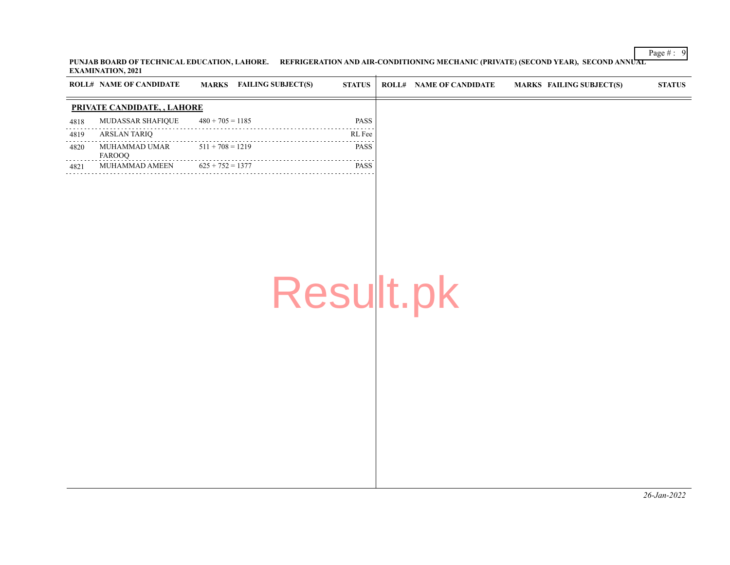Page # : 9 **PUNJAB BOARD OF TECHNICAL EDUCATION, LAHORE. REFRIGERATION AND AIR-CONDITIONING MECHANIC (PRIVATE) (SECOND YEAR), SECOND ANNUAL EXAMINATION, 2021**

|                                            | <b>ROLL# NAME OF CANDIDATE</b> |                    | <b>MARKS</b> FAILING SUBJECT(S) | <b>STATUS</b> | <b>ROLL# NAME OF CANDIDATE</b> | <b>MARKS FAILING SUBJECT(S)</b> | <b>STATUS</b> |
|--------------------------------------------|--------------------------------|--------------------|---------------------------------|---------------|--------------------------------|---------------------------------|---------------|
|                                            | PRIVATE CANDIDATE, , LAHORE    |                    |                                 |               |                                |                                 |               |
| 4818                                       | MUDASSAR SHAFIQUE              | $480 + 705 = 1185$ |                                 | <b>PASS</b>   |                                |                                 |               |
| $\sim$ $\sim$ $\sim$ $\sim$ $\sim$<br>4819 | <b>ARSLAN TARIQ</b>            |                    |                                 | .<br>RL Fee   |                                |                                 |               |
| 4820                                       | MUHAMMAD UMAR<br>FAROOQ        | $511 + 708 = 1219$ |                                 | PASS<br>.     |                                |                                 |               |
| 4821                                       | MUHAMMAD AMEEN                 | $625 + 752 = 1377$ |                                 | <b>PASS</b>   |                                |                                 |               |
|                                            |                                |                    | Result.pk                       |               |                                |                                 |               |